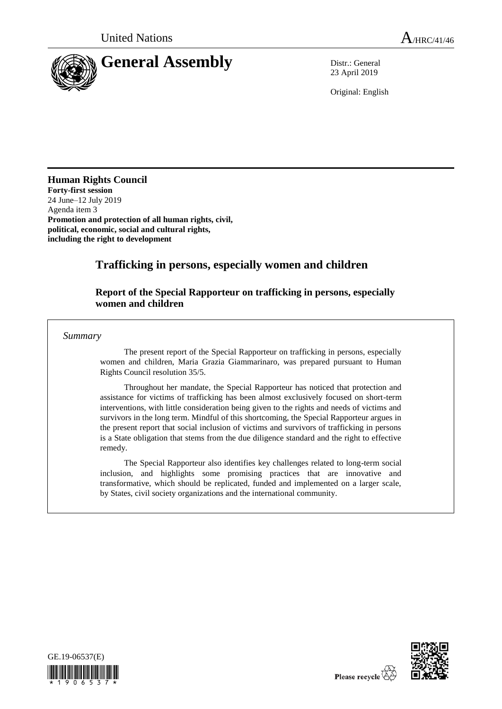

23 April 2019

Original: English

**Human Rights Council Forty-first session** 24 June–12 July 2019 Agenda item 3

**Promotion and protection of all human rights, civil, political, economic, social and cultural rights, including the right to development**

# **Trafficking in persons, especially women and children**

## **Report of the Special Rapporteur on trafficking in persons, especially women and children**

*Summary*

The present report of the Special Rapporteur on trafficking in persons, especially women and children, Maria Grazia Giammarinaro, was prepared pursuant to Human Rights Council resolution 35/5.

Throughout her mandate, the Special Rapporteur has noticed that protection and assistance for victims of trafficking has been almost exclusively focused on short-term interventions, with little consideration being given to the rights and needs of victims and survivors in the long term. Mindful of this shortcoming, the Special Rapporteur argues in the present report that social inclusion of victims and survivors of trafficking in persons is a State obligation that stems from the due diligence standard and the right to effective remedy.

The Special Rapporteur also identifies key challenges related to long-term social inclusion, and highlights some promising practices that are innovative and transformative, which should be replicated, funded and implemented on a larger scale, by States, civil society organizations and the international community.



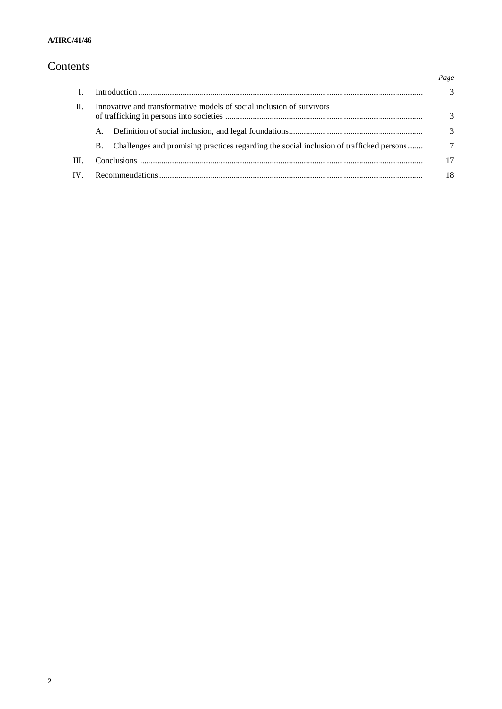# Contents

|      |                                                                       |                                                                                         | Page          |
|------|-----------------------------------------------------------------------|-----------------------------------------------------------------------------------------|---------------|
|      |                                                                       |                                                                                         | $\mathcal{R}$ |
| H.   | Innovative and transformative models of social inclusion of survivors |                                                                                         |               |
|      | A.                                                                    |                                                                                         | 3             |
|      | B.                                                                    | Challenges and promising practices regarding the social inclusion of trafficked persons | 7             |
| III. |                                                                       |                                                                                         | 17            |
| IV.  |                                                                       |                                                                                         | 18            |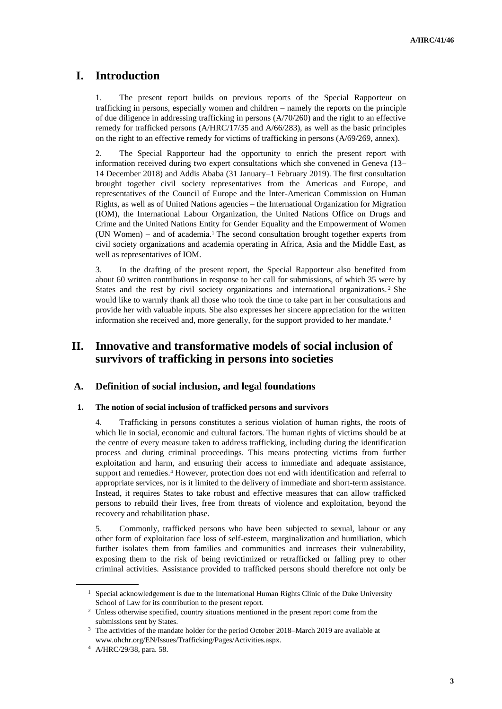# **I. Introduction**

1. The present report builds on previous reports of the Special Rapporteur on trafficking in persons, especially women and children – namely the reports on the principle of due diligence in addressing trafficking in persons (A/70/260) and the right to an effective remedy for trafficked persons (A/HRC/17/35 and A/66/283), as well as the basic principles on the right to an effective remedy for victims of trafficking in persons (A/69/269, annex).

2. The Special Rapporteur had the opportunity to enrich the present report with information received during two expert consultations which she convened in Geneva (13– 14 December 2018) and Addis Ababa (31 January–1 February 2019). The first consultation brought together civil society representatives from the Americas and Europe, and representatives of the Council of Europe and the Inter-American Commission on Human Rights, as well as of United Nations agencies – the International Organization for Migration (IOM), the International Labour Organization, the United Nations Office on Drugs and Crime and the United Nations Entity for Gender Equality and the Empowerment of Women (UN Women) – and of academia.<sup>1</sup> The second consultation brought together experts from civil society organizations and academia operating in Africa, Asia and the Middle East, as well as representatives of IOM.

3. In the drafting of the present report, the Special Rapporteur also benefited from about 60 written contributions in response to her call for submissions, of which 35 were by States and the rest by civil society organizations and international organizations. <sup>2</sup> She would like to warmly thank all those who took the time to take part in her consultations and provide her with valuable inputs. She also expresses her sincere appreciation for the written information she received and, more generally, for the support provided to her mandate.<sup>3</sup>

## **II. Innovative and transformative models of social inclusion of survivors of trafficking in persons into societies**

### **A. Definition of social inclusion, and legal foundations**

#### **1. The notion of social inclusion of trafficked persons and survivors**

4. Trafficking in persons constitutes a serious violation of human rights, the roots of which lie in social, economic and cultural factors. The human rights of victims should be at the centre of every measure taken to address trafficking, including during the identification process and during criminal proceedings. This means protecting victims from further exploitation and harm, and ensuring their access to immediate and adequate assistance, support and remedies.<sup>4</sup> However, protection does not end with identification and referral to appropriate services, nor is it limited to the delivery of immediate and short-term assistance. Instead, it requires States to take robust and effective measures that can allow trafficked persons to rebuild their lives, free from threats of violence and exploitation, beyond the recovery and rehabilitation phase.

5. Commonly, trafficked persons who have been subjected to sexual, labour or any other form of exploitation face loss of self-esteem, marginalization and humiliation, which further isolates them from families and communities and increases their vulnerability, exposing them to the risk of being revictimized or retrafficked or falling prey to other criminal activities. Assistance provided to trafficked persons should therefore not only be

 $<sup>1</sup>$  Special acknowledgement is due to the International Human Rights Clinic of the Duke University</sup> School of Law for its contribution to the present report.

<sup>&</sup>lt;sup>2</sup> Unless otherwise specified, country situations mentioned in the present report come from the submissions sent by States.

<sup>&</sup>lt;sup>3</sup> The activities of the mandate holder for the period October 2018–March 2019 are available at [www.ohchr.org/EN/Issues/Trafficking/Pages/Activities.aspx.](http://www.ohchr.org/EN/Issues/Trafficking/Pages/Activities.aspx)

<sup>4</sup> A/HRC/29/38, para. 58.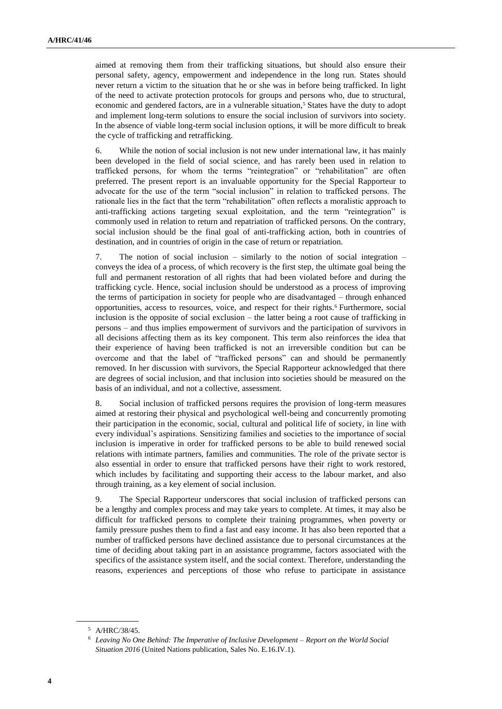aimed at removing them from their trafficking situations, but should also ensure their personal safety, agency, empowerment and independence in the long run. States should never return a victim to the situation that he or she was in before being trafficked. In light of the need to activate protection protocols for groups and persons who, due to structural, economic and gendered factors, are in a vulnerable situation,<sup>5</sup> States have the duty to adopt and implement long-term solutions to ensure the social inclusion of survivors into society. In the absence of viable long-term social inclusion options, it will be more difficult to break the cycle of trafficking and retrafficking.

6. While the notion of social inclusion is not new under international law, it has mainly been developed in the field of social science, and has rarely been used in relation to trafficked persons, for whom the terms "reintegration" or "rehabilitation" are often preferred. The present report is an invaluable opportunity for the Special Rapporteur to advocate for the use of the term "social inclusion" in relation to trafficked persons. The rationale lies in the fact that the term "rehabilitation" often reflects a moralistic approach to anti-trafficking actions targeting sexual exploitation, and the term "reintegration" is commonly used in relation to return and repatriation of trafficked persons. On the contrary, social inclusion should be the final goal of anti-trafficking action, both in countries of destination, and in countries of origin in the case of return or repatriation.

7. The notion of social inclusion – similarly to the notion of social integration – conveys the idea of a process, of which recovery is the first step, the ultimate goal being the full and permanent restoration of all rights that had been violated before and during the trafficking cycle. Hence, social inclusion should be understood as a process of improving the terms of participation in society for people who are disadvantaged – through enhanced opportunities, access to resources, voice, and respect for their rights.<sup>6</sup> Furthermore, social inclusion is the opposite of social exclusion – the latter being a root cause of trafficking in persons – and thus implies empowerment of survivors and the participation of survivors in all decisions affecting them as its key component. This term also reinforces the idea that their experience of having been trafficked is not an irreversible condition but can be overcome and that the label of "trafficked persons" can and should be permanently removed. In her discussion with survivors, the Special Rapporteur acknowledged that there are degrees of social inclusion, and that inclusion into societies should be measured on the basis of an individual, and not a collective, assessment.

8. Social inclusion of trafficked persons requires the provision of long-term measures aimed at restoring their physical and psychological well-being and concurrently promoting their participation in the economic, social, cultural and political life of society, in line with every individual's aspirations. Sensitizing families and societies to the importance of social inclusion is imperative in order for trafficked persons to be able to build renewed social relations with intimate partners, families and communities. The role of the private sector is also essential in order to ensure that trafficked persons have their right to work restored, which includes by facilitating and supporting their access to the labour market, and also through training, as a key element of social inclusion.

9. The Special Rapporteur underscores that social inclusion of trafficked persons can be a lengthy and complex process and may take years to complete. At times, it may also be difficult for trafficked persons to complete their training programmes, when poverty or family pressure pushes them to find a fast and easy income. It has also been reported that a number of trafficked persons have declined assistance due to personal circumstances at the time of deciding about taking part in an assistance programme, factors associated with the specifics of the assistance system itself, and the social context. Therefore, understanding the reasons, experiences and perceptions of those who refuse to participate in assistance

<sup>5</sup> A/HRC/38/45.

<sup>6</sup> *Leaving No One Behind: The Imperative of Inclusive Development* – *Report on the World Social Situation 2016* (United Nations publication, Sales No. E.16.IV.1).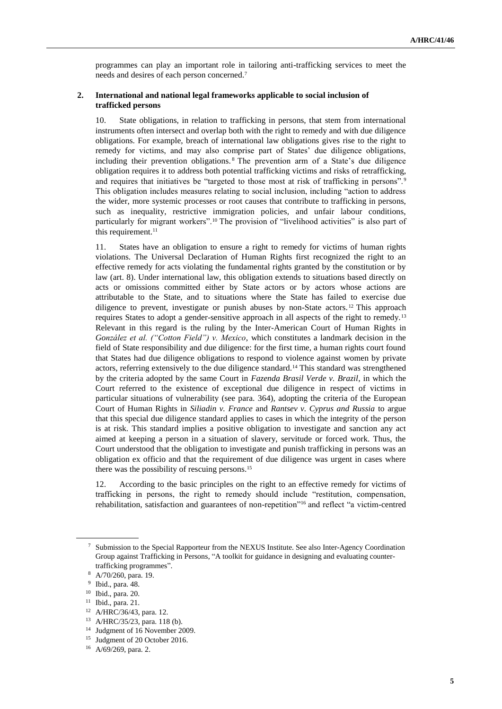programmes can play an important role in tailoring anti-trafficking services to meet the needs and desires of each person concerned.<sup>7</sup>

#### **2. International and national legal frameworks applicable to social inclusion of trafficked persons**

10. State obligations, in relation to trafficking in persons, that stem from international instruments often intersect and overlap both with the right to remedy and with due diligence obligations. For example, breach of international law obligations gives rise to the right to remedy for victims, and may also comprise part of States' due diligence obligations, including their prevention obligations. <sup>8</sup> The prevention arm of a State's due diligence obligation requires it to address both potential trafficking victims and risks of retrafficking, and requires that initiatives be "targeted to those most at risk of trafficking in persons".<sup>9</sup> This obligation includes measures relating to social inclusion, including "action to address the wider, more systemic processes or root causes that contribute to trafficking in persons, such as inequality, restrictive immigration policies, and unfair labour conditions, particularly for migrant workers".<sup>10</sup> The provision of "livelihood activities" is also part of this requirement.<sup>11</sup>

11. States have an obligation to ensure a right to remedy for victims of human rights violations. The Universal Declaration of Human Rights first recognized the right to an effective remedy for acts violating the fundamental rights granted by the constitution or by law (art. 8). Under international law, this obligation extends to situations based directly on acts or omissions committed either by State actors or by actors whose actions are attributable to the State, and to situations where the State has failed to exercise due diligence to prevent, investigate or punish abuses by non-State actors. <sup>12</sup> This approach requires States to adopt a gender-sensitive approach in all aspects of the right to remedy.<sup>13</sup> Relevant in this regard is the ruling by the Inter-American Court of Human Rights in *González et al. ("Cotton Field") v. Mexico*, which constitutes a landmark decision in the field of State responsibility and due diligence: for the first time, a human rights court found that States had due diligence obligations to respond to violence against women by private actors, referring extensively to the due diligence standard.<sup>14</sup> This standard was strengthened by the criteria adopted by the same Court in *Fazenda Brasil Verde v. Brazil*, in which the Court referred to the existence of exceptional due diligence in respect of victims in particular situations of vulnerability (see para. 364), adopting the criteria of the European Court of Human Rights in *Siliadin v. France* and *Rantsev v. Cyprus and Russia* to argue that this special due diligence standard applies to cases in which the integrity of the person is at risk. This standard implies a positive obligation to investigate and sanction any act aimed at keeping a person in a situation of slavery, servitude or forced work. Thus, the Court understood that the obligation to investigate and punish trafficking in persons was an obligation ex officio and that the requirement of due diligence was urgent in cases where there was the possibility of rescuing persons.<sup>15</sup>

12. According to the basic principles on the right to an effective remedy for victims of trafficking in persons, the right to remedy should include "restitution, compensation, rehabilitation, satisfaction and guarantees of non-repetition"<sup>16</sup> and reflect "a victim-centred

<sup>7</sup> Submission to the Special Rapporteur from the NEXUS Institute. See also Inter-Agency Coordination Group against Trafficking in Persons, "A toolkit for guidance in designing and evaluating countertrafficking programmes".

<sup>8</sup> A/70/260, para. 19.

<sup>9</sup> Ibid., para. 48.

<sup>10</sup> Ibid., para. 20.

<sup>11</sup> Ibid., para. 21.

<sup>12</sup> A/HRC/36/43, para. 12.

<sup>13</sup> A/HRC/35/23, para. 118 (b).

<sup>14</sup> Judgment of 16 November 2009.

<sup>15</sup> Judgment of 20 October 2016.

<sup>16</sup> A/69/269, para. 2.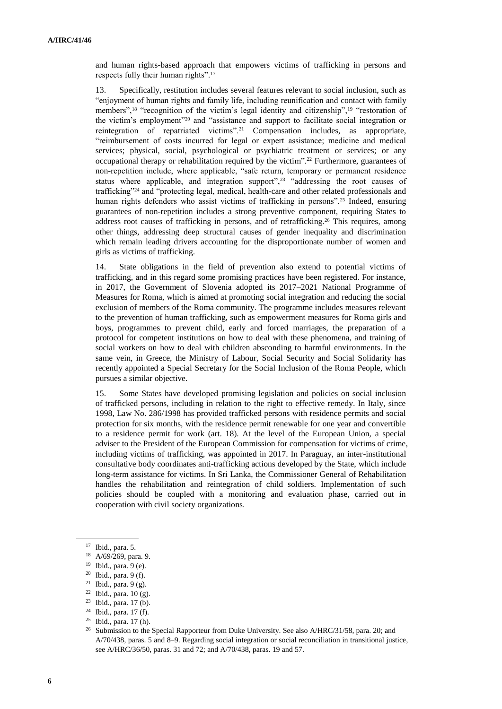and human rights-based approach that empowers victims of trafficking in persons and respects fully their human rights".<sup>17</sup>

13. Specifically, restitution includes several features relevant to social inclusion, such as "enjoyment of human rights and family life, including reunification and contact with family members",<sup>18</sup> "recognition of the victim's legal identity and citizenship",<sup>19</sup> "restoration of the victim's employment"<sup>20</sup> and "assistance and support to facilitate social integration or reintegration of repatriated victims".<sup>21</sup> Compensation includes, as appropriate, "reimbursement of costs incurred for legal or expert assistance; medicine and medical services; physical, social, psychological or psychiatric treatment or services; or any occupational therapy or rehabilitation required by the victim".<sup>22</sup> Furthermore, guarantees of non-repetition include, where applicable, "safe return, temporary or permanent residence status where applicable, and integration support",<sup>23</sup> "addressing the root causes of trafficking"<sup>24</sup> and "protecting legal, medical, health-care and other related professionals and human rights defenders who assist victims of trafficking in persons".<sup>25</sup> Indeed, ensuring guarantees of non-repetition includes a strong preventive component, requiring States to address root causes of trafficking in persons, and of retrafficking.<sup>26</sup> This requires, among other things, addressing deep structural causes of gender inequality and discrimination which remain leading drivers accounting for the disproportionate number of women and girls as victims of trafficking.

14. State obligations in the field of prevention also extend to potential victims of trafficking, and in this regard some promising practices have been registered. For instance, in 2017, the Government of Slovenia adopted its 2017–2021 National Programme of Measures for Roma, which is aimed at promoting social integration and reducing the social exclusion of members of the Roma community. The programme includes measures relevant to the prevention of human trafficking, such as empowerment measures for Roma girls and boys, programmes to prevent child, early and forced marriages, the preparation of a protocol for competent institutions on how to deal with these phenomena, and training of social workers on how to deal with children absconding to harmful environments. In the same vein, in Greece, the Ministry of Labour, Social Security and Social Solidarity has recently appointed a Special Secretary for the Social Inclusion of the Roma People, which pursues a similar objective.

15. Some States have developed promising legislation and policies on social inclusion of trafficked persons, including in relation to the right to effective remedy. In Italy, since 1998, Law No. 286/1998 has provided trafficked persons with residence permits and social protection for six months, with the residence permit renewable for one year and convertible to a residence permit for work (art. 18). At the level of the European Union, a special adviser to the President of the European Commission for compensation for victims of crime, including victims of trafficking, was appointed in 2017. In Paraguay, an inter-institutional consultative body coordinates anti-trafficking actions developed by the State, which include long-term assistance for victims. In Sri Lanka, the Commissioner General of Rehabilitation handles the rehabilitation and reintegration of child soldiers. Implementation of such policies should be coupled with a monitoring and evaluation phase, carried out in cooperation with civil society organizations.

<sup>17</sup> Ibid., para. 5.

<sup>18</sup> A/69/269, para. 9.

<sup>19</sup> Ibid., para. 9 (e).

<sup>20</sup> Ibid., para. 9 (f).

<sup>21</sup> Ibid., para. 9 (g).

 $22$  Ibid., para. 10 (g).

<sup>23</sup> Ibid., para. 17 (b).

<sup>24</sup> Ibid., para. 17 (f).

<sup>25</sup> Ibid., para. 17 (h).

<sup>&</sup>lt;sup>26</sup> Submission to the Special Rapporteur from Duke University. See also A/HRC/31/58, para. 20; and A/70/438, paras. 5 and 8–9. Regarding social integration or social reconciliation in transitional justice, see A/HRC/36/50, paras. 31 and 72; and A/70/438, paras. 19 and 57.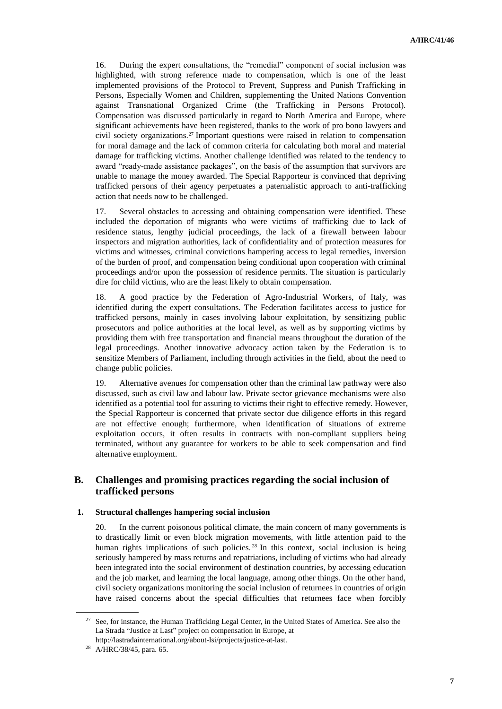16. During the expert consultations, the "remedial" component of social inclusion was highlighted, with strong reference made to compensation, which is one of the least implemented provisions of the Protocol to Prevent, Suppress and Punish Trafficking in Persons, Especially Women and Children, supplementing the United Nations Convention against Transnational Organized Crime (the Trafficking in Persons Protocol). Compensation was discussed particularly in regard to North America and Europe, where significant achievements have been registered, thanks to the work of pro bono lawyers and civil society organizations.<sup>27</sup> Important questions were raised in relation to compensation for moral damage and the lack of common criteria for calculating both moral and material damage for trafficking victims. Another challenge identified was related to the tendency to award "ready-made assistance packages", on the basis of the assumption that survivors are unable to manage the money awarded. The Special Rapporteur is convinced that depriving trafficked persons of their agency perpetuates a paternalistic approach to anti-trafficking action that needs now to be challenged.

17. Several obstacles to accessing and obtaining compensation were identified. These included the deportation of migrants who were victims of trafficking due to lack of residence status, lengthy judicial proceedings, the lack of a firewall between labour inspectors and migration authorities, lack of confidentiality and of protection measures for victims and witnesses, criminal convictions hampering access to legal remedies, inversion of the burden of proof, and compensation being conditional upon cooperation with criminal proceedings and/or upon the possession of residence permits. The situation is particularly dire for child victims, who are the least likely to obtain compensation.

18. A good practice by the Federation of Agro-Industrial Workers, of Italy, was identified during the expert consultations. The Federation facilitates access to justice for trafficked persons, mainly in cases involving labour exploitation, by sensitizing public prosecutors and police authorities at the local level, as well as by supporting victims by providing them with free transportation and financial means throughout the duration of the legal proceedings. Another innovative advocacy action taken by the Federation is to sensitize Members of Parliament, including through activities in the field, about the need to change public policies.

19. Alternative avenues for compensation other than the criminal law pathway were also discussed, such as civil law and labour law. Private sector grievance mechanisms were also identified as a potential tool for assuring to victims their right to effective remedy. However, the Special Rapporteur is concerned that private sector due diligence efforts in this regard are not effective enough; furthermore, when identification of situations of extreme exploitation occurs, it often results in contracts with non-compliant suppliers being terminated, without any guarantee for workers to be able to seek compensation and find alternative employment.

### **B. Challenges and promising practices regarding the social inclusion of trafficked persons**

#### **1. Structural challenges hampering social inclusion**

20. In the current poisonous political climate, the main concern of many governments is to drastically limit or even block migration movements, with little attention paid to the human rights implications of such policies.<sup>28</sup> In this context, social inclusion is being seriously hampered by mass returns and repatriations, including of victims who had already been integrated into the social environment of destination countries, by accessing education and the job market, and learning the local language, among other things. On the other hand, civil society organizations monitoring the social inclusion of returnees in countries of origin have raised concerns about the special difficulties that returnees face when forcibly

<sup>&</sup>lt;sup>27</sup> See, for instance, the Human Trafficking Legal Center, in the United States of America. See also the La Strada "Justice at Last" project on compensation in Europe, at [http://lastradainternational.org/about-lsi/projects/justice-at-last.](http://lastradainternational.org/about-lsi/projects/justice-at-last)

<sup>28</sup> A/HRC/38/45, para. 65.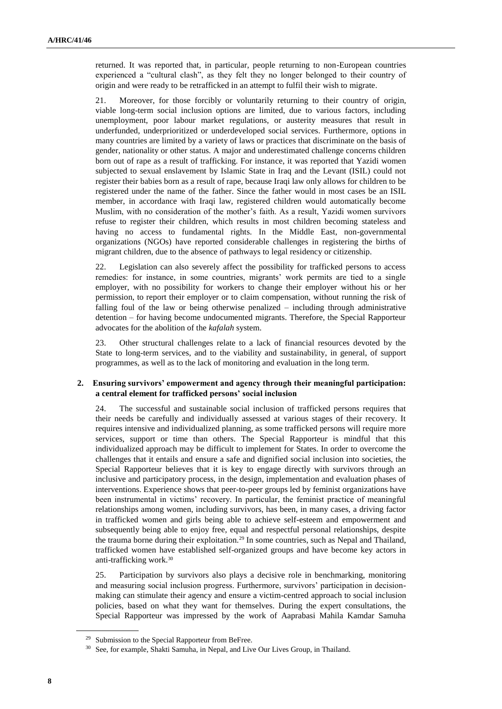returned. It was reported that, in particular, people returning to non-European countries experienced a "cultural clash", as they felt they no longer belonged to their country of origin and were ready to be retrafficked in an attempt to fulfil their wish to migrate.

21. Moreover, for those forcibly or voluntarily returning to their country of origin, viable long-term social inclusion options are limited, due to various factors, including unemployment, poor labour market regulations, or austerity measures that result in underfunded, underprioritized or underdeveloped social services. Furthermore, options in many countries are limited by a variety of laws or practices that discriminate on the basis of gender, nationality or other status. A major and underestimated challenge concerns children born out of rape as a result of trafficking. For instance, it was reported that Yazidi women subjected to sexual enslavement by Islamic State in Iraq and the Levant (ISIL) could not register their babies born as a result of rape, because Iraqi law only allows for children to be registered under the name of the father. Since the father would in most cases be an ISIL member, in accordance with Iraqi law, registered children would automatically become Muslim, with no consideration of the mother's faith. As a result, Yazidi women survivors refuse to register their children, which results in most children becoming stateless and having no access to fundamental rights. In the Middle East, non-governmental organizations (NGOs) have reported considerable challenges in registering the births of migrant children, due to the absence of pathways to legal residency or citizenship.

22. Legislation can also severely affect the possibility for trafficked persons to access remedies: for instance, in some countries, migrants' work permits are tied to a single employer, with no possibility for workers to change their employer without his or her permission, to report their employer or to claim compensation, without running the risk of falling foul of the law or being otherwise penalized – including through administrative detention – for having become undocumented migrants. Therefore, the Special Rapporteur advocates for the abolition of the *kafalah* system.

23. Other structural challenges relate to a lack of financial resources devoted by the State to long-term services, and to the viability and sustainability, in general, of support programmes, as well as to the lack of monitoring and evaluation in the long term.

#### **2. Ensuring survivors' empowerment and agency through their meaningful participation: a central element for trafficked persons' social inclusion**

24. The successful and sustainable social inclusion of trafficked persons requires that their needs be carefully and individually assessed at various stages of their recovery. It requires intensive and individualized planning, as some trafficked persons will require more services, support or time than others. The Special Rapporteur is mindful that this individualized approach may be difficult to implement for States. In order to overcome the challenges that it entails and ensure a safe and dignified social inclusion into societies, the Special Rapporteur believes that it is key to engage directly with survivors through an inclusive and participatory process, in the design, implementation and evaluation phases of interventions. Experience shows that peer-to-peer groups led by feminist organizations have been instrumental in victims' recovery. In particular, the feminist practice of meaningful relationships among women, including survivors, has been, in many cases, a driving factor in trafficked women and girls being able to achieve self-esteem and empowerment and subsequently being able to enjoy free, equal and respectful personal relationships, despite the trauma borne during their exploitation.<sup>29</sup> In some countries, such as Nepal and Thailand, trafficked women have established self-organized groups and have become key actors in anti-trafficking work.<sup>30</sup>

25. Participation by survivors also plays a decisive role in benchmarking, monitoring and measuring social inclusion progress. Furthermore, survivors' participation in decisionmaking can stimulate their agency and ensure a victim-centred approach to social inclusion policies, based on what they want for themselves. During the expert consultations, the Special Rapporteur was impressed by the work of Aaprabasi Mahila Kamdar Samuha

<sup>&</sup>lt;sup>29</sup> Submission to the Special Rapporteur from BeFree.

<sup>30</sup> See, for example, Shakti Samuha, in Nepal, and Live Our Lives Group, in Thailand.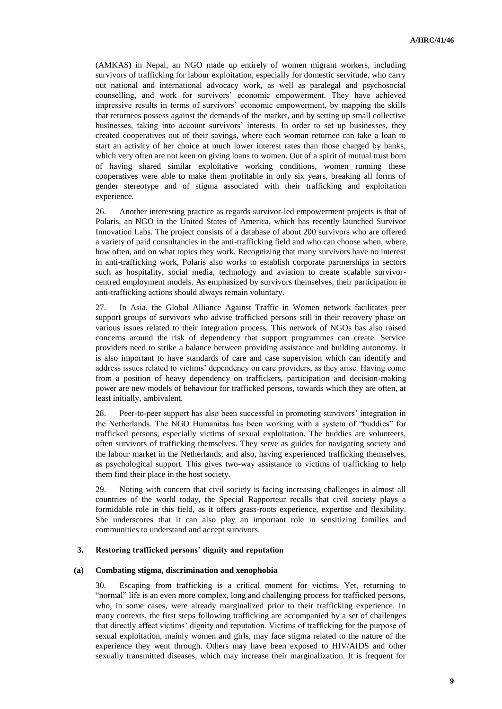(AMKAS) in Nepal, an NGO made up entirely of women migrant workers, including survivors of trafficking for labour exploitation, especially for domestic servitude, who carry out national and international advocacy work, as well as paralegal and psychosocial counselling, and work for survivors' economic empowerment. They have achieved impressive results in terms of survivors' economic empowerment, by mapping the skills that returnees possess against the demands of the market, and by setting up small collective businesses, taking into account survivors' interests. In order to set up businesses, they created cooperatives out of their savings, where each woman returnee can take a loan to start an activity of her choice at much lower interest rates than those charged by banks, which very often are not keen on giving loans to women. Out of a spirit of mutual trust born of having shared similar exploitative working conditions, women running these cooperatives were able to make them profitable in only six years, breaking all forms of gender stereotype and of stigma associated with their trafficking and exploitation experience.

26. Another interesting practice as regards survivor-led empowerment projects is that of Polaris, an NGO in the United States of America, which has recently launched Survivor Innovation Labs. The project consists of a database of about 200 survivors who are offered a variety of paid consultancies in the anti-trafficking field and who can choose when, where, how often, and on what topics they work. Recognizing that many survivors have no interest in anti-trafficking work, Polaris also works to establish corporate partnerships in sectors such as hospitality, social media, technology and aviation to create scalable survivorcentred employment models. As emphasized by survivors themselves, their participation in anti-trafficking actions should always remain voluntary.

27. In Asia, the Global Alliance Against Traffic in Women network facilitates peer support groups of survivors who advise trafficked persons still in their recovery phase on various issues related to their integration process. This network of NGOs has also raised concerns around the risk of dependency that support programmes can create. Service providers need to strike a balance between providing assistance and building autonomy. It is also important to have standards of care and case supervision which can identify and address issues related to victims' dependency on care providers, as they arise. Having come from a position of heavy dependency on traffickers, participation and decision-making power are new models of behaviour for trafficked persons, towards which they are often, at least initially, ambivalent.

28. Peer-to-peer support has also been successful in promoting survivors' integration in the Netherlands. The NGO Humanitas has been working with a system of "buddies" for trafficked persons, especially victims of sexual exploitation. The buddies are volunteers, often survivors of trafficking themselves. They serve as guides for navigating society and the labour market in the Netherlands, and also, having experienced trafficking themselves, as psychological support. This gives two-way assistance to victims of trafficking to help them find their place in the host society.

29. Noting with concern that civil society is facing increasing challenges in almost all countries of the world today, the Special Rapporteur recalls that civil society plays a formidable role in this field, as it offers grass-roots experience, expertise and flexibility. She underscores that it can also play an important role in sensitizing families and communities to understand and accept survivors.

#### **3. Restoring trafficked persons' dignity and reputation**

#### **(a) Combating stigma, discrimination and xenophobia**

30. Escaping from trafficking is a critical moment for victims. Yet, returning to "normal" life is an even more complex, long and challenging process for trafficked persons, who, in some cases, were already marginalized prior to their trafficking experience. In many contexts, the first steps following trafficking are accompanied by a set of challenges that directly affect victims' dignity and reputation. Victims of trafficking for the purpose of sexual exploitation, mainly women and girls, may face stigma related to the nature of the experience they went through. Others may have been exposed to HIV/AIDS and other sexually transmitted diseases, which may increase their marginalization. It is frequent for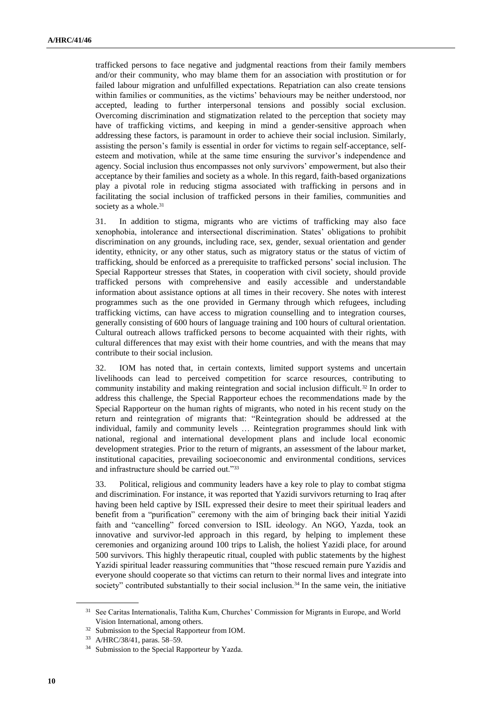trafficked persons to face negative and judgmental reactions from their family members and/or their community, who may blame them for an association with prostitution or for failed labour migration and unfulfilled expectations. Repatriation can also create tensions within families or communities, as the victims' behaviours may be neither understood, nor accepted, leading to further interpersonal tensions and possibly social exclusion. Overcoming discrimination and stigmatization related to the perception that society may have of trafficking victims, and keeping in mind a gender-sensitive approach when addressing these factors, is paramount in order to achieve their social inclusion. Similarly, assisting the person's family is essential in order for victims to regain self-acceptance, selfesteem and motivation, while at the same time ensuring the survivor's independence and agency. Social inclusion thus encompasses not only survivors' empowerment, but also their acceptance by their families and society as a whole. In this regard, faith-based organizations play a pivotal role in reducing stigma associated with trafficking in persons and in facilitating the social inclusion of trafficked persons in their families, communities and society as a whole.<sup>31</sup>

31. In addition to stigma, migrants who are victims of trafficking may also face xenophobia, intolerance and intersectional discrimination. States' obligations to prohibit discrimination on any grounds, including race, sex, gender, sexual orientation and gender identity, ethnicity, or any other status, such as migratory status or the status of victim of trafficking, should be enforced as a prerequisite to trafficked persons' social inclusion. The Special Rapporteur stresses that States, in cooperation with civil society, should provide trafficked persons with comprehensive and easily accessible and understandable information about assistance options at all times in their recovery. She notes with interest programmes such as the one provided in Germany through which refugees, including trafficking victims, can have access to migration counselling and to integration courses, generally consisting of 600 hours of language training and 100 hours of cultural orientation. Cultural outreach allows trafficked persons to become acquainted with their rights, with cultural differences that may exist with their home countries, and with the means that may contribute to their social inclusion.

32. IOM has noted that, in certain contexts, limited support systems and uncertain livelihoods can lead to perceived competition for scarce resources, contributing to community instability and making reintegration and social inclusion difficult.<sup>32</sup> In order to address this challenge, the Special Rapporteur echoes the recommendations made by the Special Rapporteur on the human rights of migrants, who noted in his recent study on the return and reintegration of migrants that: "Reintegration should be addressed at the individual, family and community levels … Reintegration programmes should link with national, regional and international development plans and include local economic development strategies. Prior to the return of migrants, an assessment of the labour market, institutional capacities, prevailing socioeconomic and environmental conditions, services and infrastructure should be carried out."<sup>33</sup>

33. Political, religious and community leaders have a key role to play to combat stigma and discrimination. For instance, it was reported that Yazidi survivors returning to Iraq after having been held captive by ISIL expressed their desire to meet their spiritual leaders and benefit from a "purification" ceremony with the aim of bringing back their initial Yazidi faith and "cancelling" forced conversion to ISIL ideology. An NGO, Yazda, took an innovative and survivor-led approach in this regard, by helping to implement these ceremonies and organizing around 100 trips to Lalish, the holiest Yazidi place, for around 500 survivors. This highly therapeutic ritual, coupled with public statements by the highest Yazidi spiritual leader reassuring communities that "those rescued remain pure Yazidis and everyone should cooperate so that victims can return to their normal lives and integrate into society" contributed substantially to their social inclusion.<sup>34</sup> In the same vein, the initiative

<sup>31</sup> See Caritas Internationalis, Talitha Kum, Churches' Commission for Migrants in Europe, and World Vision International, among others.

<sup>&</sup>lt;sup>32</sup> Submission to the Special Rapporteur from IOM.

<sup>33</sup> A/HRC/38/41, paras. 58–59.

<sup>&</sup>lt;sup>34</sup> Submission to the Special Rapporteur by Yazda.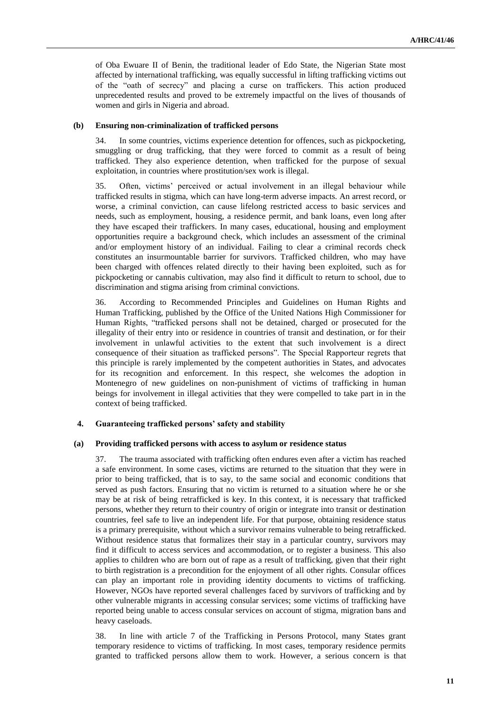of Oba Ewuare II of Benin, the traditional leader of Edo State, the Nigerian State most affected by international trafficking, was equally successful in lifting trafficking victims out of the "oath of secrecy" and placing a curse on traffickers. This action produced unprecedented results and proved to be extremely impactful on the lives of thousands of women and girls in Nigeria and abroad.

#### **(b) Ensuring non-criminalization of trafficked persons**

34. In some countries, victims experience detention for offences, such as pickpocketing, smuggling or drug trafficking, that they were forced to commit as a result of being trafficked. They also experience detention, when trafficked for the purpose of sexual exploitation, in countries where prostitution/sex work is illegal.

35. Often, victims' perceived or actual involvement in an illegal behaviour while trafficked results in stigma, which can have long-term adverse impacts. An arrest record, or worse, a criminal conviction, can cause lifelong restricted access to basic services and needs, such as employment, housing, a residence permit, and bank loans, even long after they have escaped their traffickers. In many cases, educational, housing and employment opportunities require a background check, which includes an assessment of the criminal and/or employment history of an individual. Failing to clear a criminal records check constitutes an insurmountable barrier for survivors. Trafficked children, who may have been charged with offences related directly to their having been exploited, such as for pickpocketing or cannabis cultivation, may also find it difficult to return to school, due to discrimination and stigma arising from criminal convictions.

36. According to Recommended Principles and Guidelines on Human Rights and Human Trafficking, published by the Office of the United Nations High Commissioner for Human Rights, "trafficked persons shall not be detained, charged or prosecuted for the illegality of their entry into or residence in countries of transit and destination, or for their involvement in unlawful activities to the extent that such involvement is a direct consequence of their situation as trafficked persons". The Special Rapporteur regrets that this principle is rarely implemented by the competent authorities in States, and advocates for its recognition and enforcement. In this respect, she welcomes the adoption in Montenegro of new guidelines on non-punishment of victims of trafficking in human beings for involvement in illegal activities that they were compelled to take part in in the context of being trafficked.

#### **4. Guaranteeing trafficked persons' safety and stability**

#### **(a) Providing trafficked persons with access to asylum or residence status**

37. The trauma associated with trafficking often endures even after a victim has reached a safe environment. In some cases, victims are returned to the situation that they were in prior to being trafficked, that is to say, to the same social and economic conditions that served as push factors. Ensuring that no victim is returned to a situation where he or she may be at risk of being retrafficked is key. In this context, it is necessary that trafficked persons, whether they return to their country of origin or integrate into transit or destination countries, feel safe to live an independent life. For that purpose, obtaining residence status is a primary prerequisite, without which a survivor remains vulnerable to being retrafficked. Without residence status that formalizes their stay in a particular country, survivors may find it difficult to access services and accommodation, or to register a business. This also applies to children who are born out of rape as a result of trafficking, given that their right to birth registration is a precondition for the enjoyment of all other rights. Consular offices can play an important role in providing identity documents to victims of trafficking. However, NGOs have reported several challenges faced by survivors of trafficking and by other vulnerable migrants in accessing consular services; some victims of trafficking have reported being unable to access consular services on account of stigma, migration bans and heavy caseloads.

38. In line with article 7 of the Trafficking in Persons Protocol, many States grant temporary residence to victims of trafficking. In most cases, temporary residence permits granted to trafficked persons allow them to work. However, a serious concern is that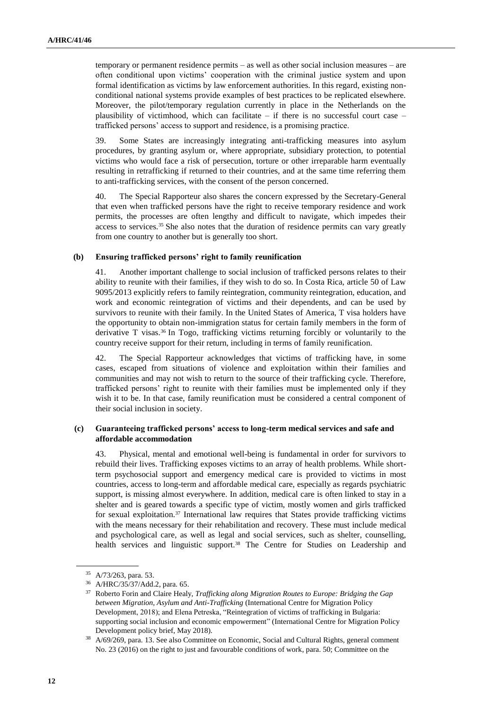temporary or permanent residence permits – as well as other social inclusion measures – are often conditional upon victims' cooperation with the criminal justice system and upon formal identification as victims by law enforcement authorities. In this regard, existing nonconditional national systems provide examples of best practices to be replicated elsewhere. Moreover, the pilot/temporary regulation currently in place in the Netherlands on the plausibility of victimhood, which can facilitate – if there is no successful court case – trafficked persons' access to support and residence, is a promising practice.

39. Some States are increasingly integrating anti-trafficking measures into asylum procedures, by granting asylum or, where appropriate, subsidiary protection, to potential victims who would face a risk of persecution, torture or other irreparable harm eventually resulting in retrafficking if returned to their countries, and at the same time referring them to anti-trafficking services, with the consent of the person concerned.

40. The Special Rapporteur also shares the concern expressed by the Secretary-General that even when trafficked persons have the right to receive temporary residence and work permits, the processes are often lengthy and difficult to navigate, which impedes their access to services.<sup>35</sup> She also notes that the duration of residence permits can vary greatly from one country to another but is generally too short.

#### **(b) Ensuring trafficked persons' right to family reunification**

41. Another important challenge to social inclusion of trafficked persons relates to their ability to reunite with their families, if they wish to do so. In Costa Rica, article 50 of Law 9095/2013 explicitly refers to family reintegration, community reintegration, education, and work and economic reintegration of victims and their dependents, and can be used by survivors to reunite with their family. In the United States of America, T visa holders have the opportunity to obtain non-immigration status for certain family members in the form of derivative T visas.<sup>36</sup> In Togo, trafficking victims returning forcibly or voluntarily to the country receive support for their return, including in terms of family reunification.

42. The Special Rapporteur acknowledges that victims of trafficking have, in some cases, escaped from situations of violence and exploitation within their families and communities and may not wish to return to the source of their trafficking cycle. Therefore, trafficked persons' right to reunite with their families must be implemented only if they wish it to be. In that case, family reunification must be considered a central component of their social inclusion in society.

### **(c) Guaranteeing trafficked persons' access to long-term medical services and safe and affordable accommodation**

43. Physical, mental and emotional well-being is fundamental in order for survivors to rebuild their lives. Trafficking exposes victims to an array of health problems. While shortterm psychosocial support and emergency medical care is provided to victims in most countries, access to long-term and affordable medical care, especially as regards psychiatric support, is missing almost everywhere. In addition, medical care is often linked to stay in a shelter and is geared towards a specific type of victim, mostly women and girls trafficked for sexual exploitation.<sup>37</sup> International law requires that States provide trafficking victims with the means necessary for their rehabilitation and recovery. These must include medical and psychological care, as well as legal and social services, such as shelter, counselling, health services and linguistic support.<sup>38</sup> The Centre for Studies on Leadership and

<sup>35</sup> A/73/263, para. 53.

<sup>36</sup> A/HRC/35/37/Add.2, para. 65.

<sup>37</sup> Roberto Forin and Claire Healy, *Trafficking along Migration Routes to Europe: Bridging the Gap between Migration, Asylum and Anti-Trafficking* (International Centre for Migration Policy Development, 2018); and Elena Petreska, "Reintegration of victims of trafficking in Bulgaria: supporting social inclusion and economic empowerment" (International Centre for Migration Policy Development policy brief, May 2018).

<sup>38</sup> A/69/269, para. 13. See also Committee on Economic, Social and Cultural Rights, general comment No. 23 (2016) on the right to just and favourable conditions of work, para. 50; Committee on the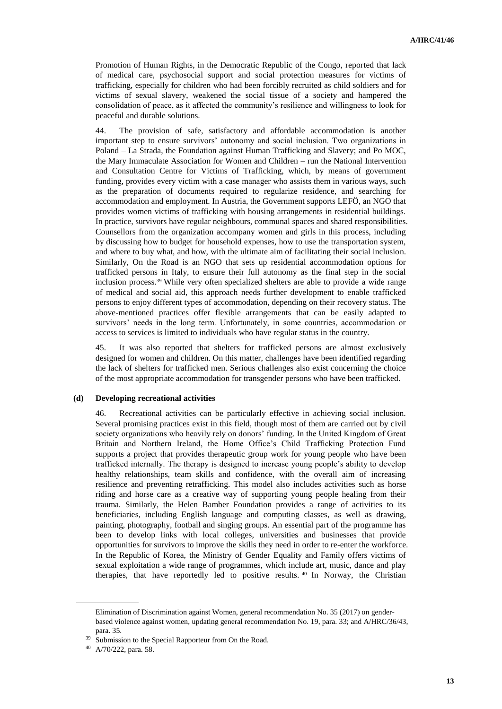Promotion of Human Rights, in the Democratic Republic of the Congo, reported that lack of medical care, psychosocial support and social protection measures for victims of trafficking, especially for children who had been forcibly recruited as child soldiers and for victims of sexual slavery, weakened the social tissue of a society and hampered the consolidation of peace, as it affected the community's resilience and willingness to look for peaceful and durable solutions.

44. The provision of safe, satisfactory and affordable accommodation is another important step to ensure survivors' autonomy and social inclusion. Two organizations in Poland – La Strada, the Foundation against Human Trafficking and Slavery; and Po MOC, the Mary Immaculate Association for Women and Children – run the National Intervention and Consultation Centre for Victims of Trafficking, which, by means of government funding, provides every victim with a case manager who assists them in various ways, such as the preparation of documents required to regularize residence, and searching for accommodation and employment. In Austria, the Government supports LEFÖ, an NGO that provides women victims of trafficking with housing arrangements in residential buildings. In practice, survivors have regular neighbours, communal spaces and shared responsibilities. Counsellors from the organization accompany women and girls in this process, including by discussing how to budget for household expenses, how to use the transportation system, and where to buy what, and how, with the ultimate aim of facilitating their social inclusion. Similarly, On the Road is an NGO that sets up residential accommodation options for trafficked persons in Italy, to ensure their full autonomy as the final step in the social inclusion process.<sup>39</sup> While very often specialized shelters are able to provide a wide range of medical and social aid, this approach needs further development to enable trafficked persons to enjoy different types of accommodation, depending on their recovery status. The above-mentioned practices offer flexible arrangements that can be easily adapted to survivors' needs in the long term. Unfortunately, in some countries, accommodation or access to services is limited to individuals who have regular status in the country.

45. It was also reported that shelters for trafficked persons are almost exclusively designed for women and children. On this matter, challenges have been identified regarding the lack of shelters for trafficked men. Serious challenges also exist concerning the choice of the most appropriate accommodation for transgender persons who have been trafficked.

#### **(d) Developing recreational activities**

46. Recreational activities can be particularly effective in achieving social inclusion. Several promising practices exist in this field, though most of them are carried out by civil society organizations who heavily rely on donors' funding. In the United Kingdom of Great Britain and Northern Ireland, the Home Office's Child Trafficking Protection Fund supports a project that provides therapeutic group work for young people who have been trafficked internally. The therapy is designed to increase young people's ability to develop healthy relationships, team skills and confidence, with the overall aim of increasing resilience and preventing retrafficking. This model also includes activities such as horse riding and horse care as a creative way of supporting young people healing from their trauma. Similarly, the Helen Bamber Foundation provides a range of activities to its beneficiaries, including English language and computing classes, as well as drawing, painting, photography, football and singing groups. An essential part of the programme has been to develop links with local colleges, universities and businesses that provide opportunities for survivors to improve the skills they need in order to re-enter the workforce. In the Republic of Korea, the Ministry of Gender Equality and Family offers victims of sexual exploitation a wide range of programmes, which include art, music, dance and play therapies, that have reportedly led to positive results. <sup>40</sup> In Norway, the Christian

Elimination of Discrimination against Women, general recommendation No. 35 (2017) on genderbased violence against women, updating general recommendation No. 19, para. 33; and A/HRC/36/43, para. 35.

Submission to the Special Rapporteur from On the Road.

<sup>40</sup> A/70/222, para. 58.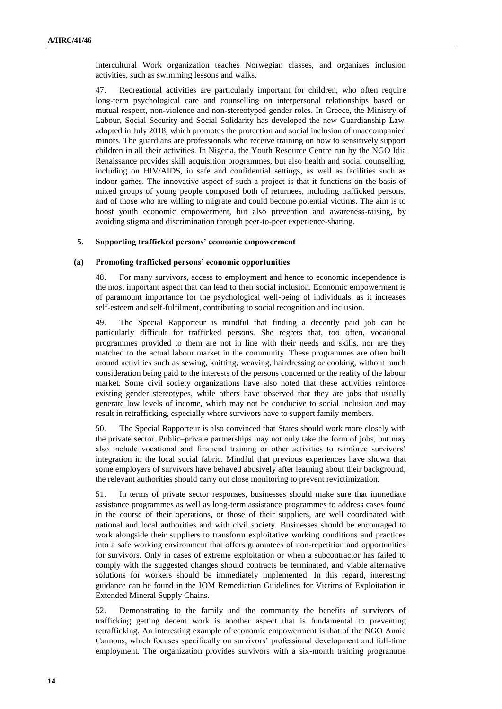Intercultural Work organization teaches Norwegian classes, and organizes inclusion activities, such as swimming lessons and walks.

47. Recreational activities are particularly important for children, who often require long-term psychological care and counselling on interpersonal relationships based on mutual respect, non-violence and non-stereotyped gender roles. In Greece, the Ministry of Labour, Social Security and Social Solidarity has developed the new Guardianship Law, adopted in July 2018, which promotes the protection and social inclusion of unaccompanied minors. The guardians are professionals who receive training on how to sensitively support children in all their activities. In Nigeria, the Youth Resource Centre run by the NGO Idia Renaissance provides skill acquisition programmes, but also health and social counselling, including on HIV/AIDS, in safe and confidential settings, as well as facilities such as indoor games. The innovative aspect of such a project is that it functions on the basis of mixed groups of young people composed both of returnees, including trafficked persons, and of those who are willing to migrate and could become potential victims. The aim is to boost youth economic empowerment, but also prevention and awareness-raising, by avoiding stigma and discrimination through peer-to-peer experience-sharing.

#### **5. Supporting trafficked persons' economic empowerment**

#### **(a) Promoting trafficked persons' economic opportunities**

48. For many survivors, access to employment and hence to economic independence is the most important aspect that can lead to their social inclusion. Economic empowerment is of paramount importance for the psychological well-being of individuals, as it increases self-esteem and self-fulfilment, contributing to social recognition and inclusion.

49. The Special Rapporteur is mindful that finding a decently paid job can be particularly difficult for trafficked persons. She regrets that, too often, vocational programmes provided to them are not in line with their needs and skills, nor are they matched to the actual labour market in the community. These programmes are often built around activities such as sewing, knitting, weaving, hairdressing or cooking, without much consideration being paid to the interests of the persons concerned or the reality of the labour market. Some civil society organizations have also noted that these activities reinforce existing gender stereotypes, while others have observed that they are jobs that usually generate low levels of income, which may not be conducive to social inclusion and may result in retrafficking, especially where survivors have to support family members.

50. The Special Rapporteur is also convinced that States should work more closely with the private sector. Public–private partnerships may not only take the form of jobs, but may also include vocational and financial training or other activities to reinforce survivors' integration in the local social fabric. Mindful that previous experiences have shown that some employers of survivors have behaved abusively after learning about their background, the relevant authorities should carry out close monitoring to prevent revictimization.

51. In terms of private sector responses, businesses should make sure that immediate assistance programmes as well as long-term assistance programmes to address cases found in the course of their operations, or those of their suppliers, are well coordinated with national and local authorities and with civil society. Businesses should be encouraged to work alongside their suppliers to transform exploitative working conditions and practices into a safe working environment that offers guarantees of non-repetition and opportunities for survivors. Only in cases of extreme exploitation or when a subcontractor has failed to comply with the suggested changes should contracts be terminated, and viable alternative solutions for workers should be immediately implemented. In this regard, interesting guidance can be found in the IOM Remediation Guidelines for Victims of Exploitation in Extended Mineral Supply Chains.

52. Demonstrating to the family and the community the benefits of survivors of trafficking getting decent work is another aspect that is fundamental to preventing retrafficking. An interesting example of economic empowerment is that of the NGO Annie Cannons, which focuses specifically on survivors' professional development and full-time employment. The organization provides survivors with a six-month training programme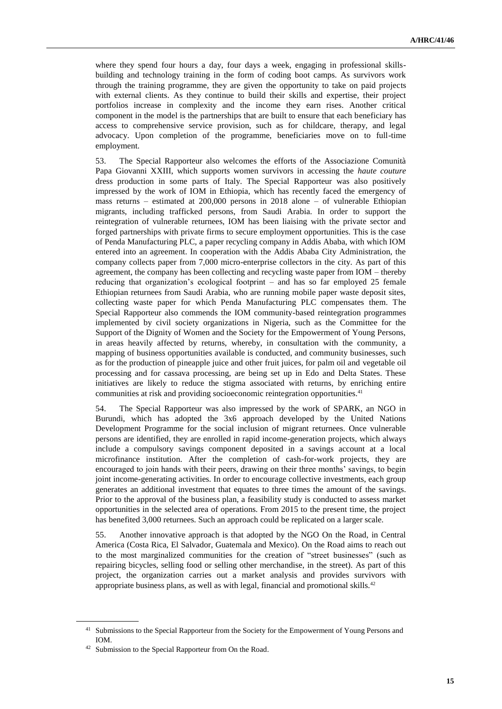where they spend four hours a day, four days a week, engaging in professional skillsbuilding and technology training in the form of coding boot camps. As survivors work through the training programme, they are given the opportunity to take on paid projects with external clients. As they continue to build their skills and expertise, their project portfolios increase in complexity and the income they earn rises. Another critical component in the model is the partnerships that are built to ensure that each beneficiary has access to comprehensive service provision, such as for childcare, therapy, and legal advocacy. Upon completion of the programme, beneficiaries move on to full-time employment.

53. The Special Rapporteur also welcomes the efforts of the Associazione Comunità Papa Giovanni XXIII, which supports women survivors in accessing the *haute couture* dress production in some parts of Italy. The Special Rapporteur was also positively impressed by the work of IOM in Ethiopia, which has recently faced the emergency of mass returns – estimated at 200,000 persons in 2018 alone – of vulnerable Ethiopian migrants, including trafficked persons, from Saudi Arabia. In order to support the reintegration of vulnerable returnees, IOM has been liaising with the private sector and forged partnerships with private firms to secure employment opportunities. This is the case of Penda Manufacturing PLC, a paper recycling company in Addis Ababa, with which IOM entered into an agreement. In cooperation with the Addis Ababa City Administration, the company collects paper from 7,000 micro-enterprise collectors in the city. As part of this agreement, the company has been collecting and recycling waste paper from IOM – thereby reducing that organization's ecological footprint – and has so far employed 25 female Ethiopian returnees from Saudi Arabia, who are running mobile paper waste deposit sites, collecting waste paper for which Penda Manufacturing PLC compensates them. The Special Rapporteur also commends the IOM community-based reintegration programmes implemented by civil society organizations in Nigeria, such as the Committee for the Support of the Dignity of Women and the Society for the Empowerment of Young Persons, in areas heavily affected by returns, whereby, in consultation with the community, a mapping of business opportunities available is conducted, and community businesses, such as for the production of pineapple juice and other fruit juices, for palm oil and vegetable oil processing and for cassava processing, are being set up in Edo and Delta States. These initiatives are likely to reduce the stigma associated with returns, by enriching entire communities at risk and providing socioeconomic reintegration opportunities.<sup>41</sup>

54. The Special Rapporteur was also impressed by the work of SPARK, an NGO in Burundi, which has adopted the 3x6 approach developed by the United Nations Development Programme for the social inclusion of migrant returnees. Once vulnerable persons are identified, they are enrolled in rapid income-generation projects, which always include a compulsory savings component deposited in a savings account at a local microfinance institution. After the completion of cash-for-work projects, they are encouraged to join hands with their peers, drawing on their three months' savings, to begin joint income-generating activities. In order to encourage collective investments, each group generates an additional investment that equates to three times the amount of the savings. Prior to the approval of the business plan, a feasibility study is conducted to assess market opportunities in the selected area of operations. From 2015 to the present time, the project has benefited 3,000 returnees. Such an approach could be replicated on a larger scale.

55. Another innovative approach is that adopted by the NGO On the Road, in Central America (Costa Rica, El Salvador, Guatemala and Mexico). On the Road aims to reach out to the most marginalized communities for the creation of "street businesses" (such as repairing bicycles, selling food or selling other merchandise, in the street). As part of this project, the organization carries out a market analysis and provides survivors with appropriate business plans, as well as with legal, financial and promotional skills.<sup>42</sup>

<sup>&</sup>lt;sup>41</sup> Submissions to the Special Rapporteur from the Society for the Empowerment of Young Persons and IOM.

<sup>42</sup> Submission to the Special Rapporteur from On the Road.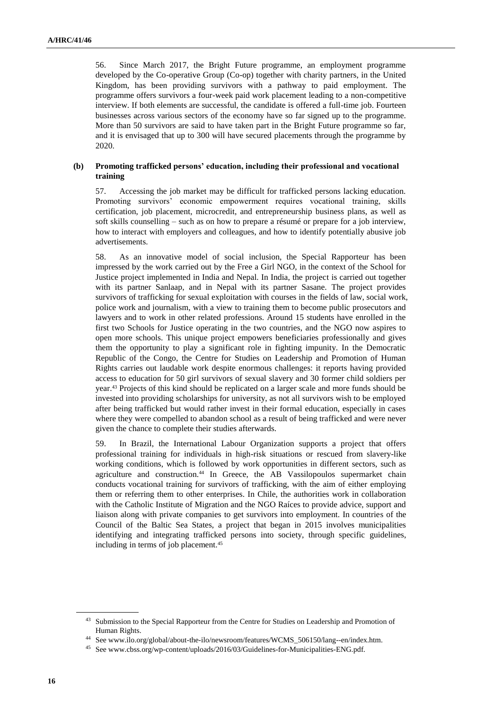56. Since March 2017, the Bright Future programme, an employment programme developed by the Co-operative Group (Co-op) together with charity partners, in the United Kingdom, has been providing survivors with a pathway to paid employment. The programme offers survivors a four-week paid work placement leading to a non-competitive interview. If both elements are successful, the candidate is offered a full-time job. Fourteen businesses across various sectors of the economy have so far signed up to the programme. More than 50 survivors are said to have taken part in the Bright Future programme so far, and it is envisaged that up to 300 will have secured placements through the programme by 2020.

#### **(b) Promoting trafficked persons' education, including their professional and vocational training**

57. Accessing the job market may be difficult for trafficked persons lacking education. Promoting survivors' economic empowerment requires vocational training, skills certification, job placement, microcredit, and entrepreneurship business plans, as well as soft skills counselling – such as on how to prepare a résumé or prepare for a job interview, how to interact with employers and colleagues, and how to identify potentially abusive job advertisements.

58. As an innovative model of social inclusion, the Special Rapporteur has been impressed by the work carried out by the Free a Girl NGO, in the context of the School for Justice project implemented in India and Nepal. In India, the project is carried out together with its partner Sanlaap, and in Nepal with its partner Sasane. The project provides survivors of trafficking for sexual exploitation with courses in the fields of law, social work, police work and journalism, with a view to training them to become public prosecutors and lawyers and to work in other related professions. Around 15 students have enrolled in the first two Schools for Justice operating in the two countries, and the NGO now aspires to open more schools. This unique project empowers beneficiaries professionally and gives them the opportunity to play a significant role in fighting impunity. In the Democratic Republic of the Congo, the Centre for Studies on Leadership and Promotion of Human Rights carries out laudable work despite enormous challenges: it reports having provided access to education for 50 girl survivors of sexual slavery and 30 former child soldiers per year.<sup>43</sup> Projects of this kind should be replicated on a larger scale and more funds should be invested into providing scholarships for university, as not all survivors wish to be employed after being trafficked but would rather invest in their formal education, especially in cases where they were compelled to abandon school as a result of being trafficked and were never given the chance to complete their studies afterwards.

59. In Brazil, the International Labour Organization supports a project that offers professional training for individuals in high-risk situations or rescued from slavery-like working conditions, which is followed by work opportunities in different sectors, such as agriculture and construction.<sup>44</sup> In Greece, the AB Vassilopoulos supermarket chain conducts vocational training for survivors of trafficking, with the aim of either employing them or referring them to other enterprises. In Chile, the authorities work in collaboration with the Catholic Institute of Migration and the NGO Raíces to provide advice, support and liaison along with private companies to get survivors into employment. In countries of the Council of the Baltic Sea States, a project that began in 2015 involves municipalities identifying and integrating trafficked persons into society, through specific [guidelines,](http://www.cbss.org/wp-content/uploads/2016/03/Guidelines-for-Municipalities-ENG.pdf) including in terms of job placement.<sup>45</sup>

<sup>&</sup>lt;sup>43</sup> Submission to the Special Rapporteur from the Centre for Studies on Leadership and Promotion of Human Rights.

<sup>44</sup> See www.ilo.org/global/about-the-ilo/newsroom/features/WCMS\_506150/lang--en/index.htm.

<sup>45</sup> See www.cbss.org/wp-content/uploads/2016/03/Guidelines-for-Municipalities-ENG.pdf.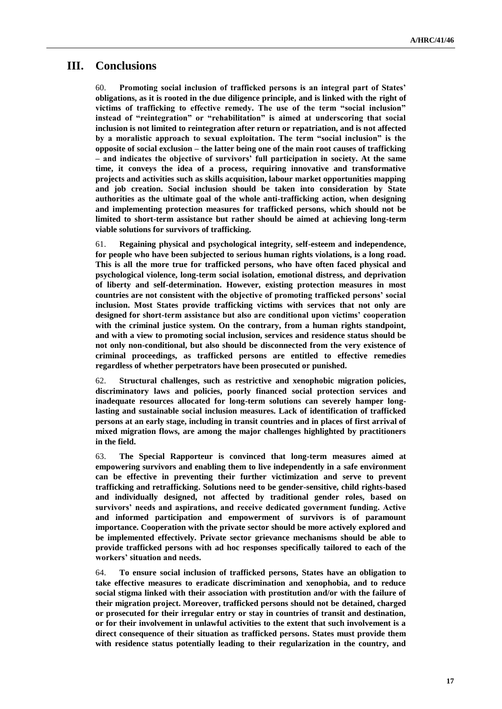## **III. Conclusions**

60. **Promoting social inclusion of trafficked persons is an integral part of States' obligations, as it is rooted in the due diligence principle, and is linked with the right of victims of trafficking to effective remedy. The use of the term "social inclusion" instead of "reintegration" or "rehabilitation" is aimed at underscoring that social inclusion is not limited to reintegration after return or repatriation, and is not affected by a moralistic approach to sexual exploitation. The term "social inclusion" is the opposite of social exclusion – the latter being one of the main root causes of trafficking – and indicates the objective of survivors' full participation in society. At the same time, it conveys the idea of a process, requiring innovative and transformative projects and activities such as skills acquisition, labour market opportunities mapping and job creation. Social inclusion should be taken into consideration by State authorities as the ultimate goal of the whole anti-trafficking action, when designing and implementing protection measures for trafficked persons, which should not be limited to short-term assistance but rather should be aimed at achieving long-term viable solutions for survivors of trafficking.**

61. **Regaining physical and psychological integrity, self-esteem and independence, for people who have been subjected to serious human rights violations, is a long road. This is all the more true for trafficked persons, who have often faced physical and psychological violence, long-term social isolation, emotional distress, and deprivation of liberty and self-determination. However, existing protection measures in most countries are not consistent with the objective of promoting trafficked persons' social inclusion. Most States provide trafficking victims with services that not only are designed for short-term assistance but also are conditional upon victims' cooperation with the criminal justice system. On the contrary, from a human rights standpoint, and with a view to promoting social inclusion, services and residence status should be not only non-conditional, but also should be disconnected from the very existence of criminal proceedings, as trafficked persons are entitled to effective remedies regardless of whether perpetrators have been prosecuted or punished.** 

62. **Structural challenges, such as restrictive and xenophobic migration policies, discriminatory laws and policies, poorly financed social protection services and inadequate resources allocated for long-term solutions can severely hamper longlasting and sustainable social inclusion measures. Lack of identification of trafficked persons at an early stage, including in transit countries and in places of first arrival of mixed migration flows, are among the major challenges highlighted by practitioners in the field.**

63. **The Special Rapporteur is convinced that long-term measures aimed at empowering survivors and enabling them to live independently in a safe environment can be effective in preventing their further victimization and serve to prevent trafficking and retrafficking. Solutions need to be gender-sensitive, child rights-based and individually designed, not affected by traditional gender roles, based on survivors' needs and aspirations, and receive dedicated government funding. Active and informed participation and empowerment of survivors is of paramount importance. Cooperation with the private sector should be more actively explored and be implemented effectively. Private sector grievance mechanisms should be able to provide trafficked persons with ad hoc responses specifically tailored to each of the workers' situation and needs.** 

64. **To ensure social inclusion of trafficked persons, States have an obligation to take effective measures to eradicate discrimination and xenophobia, and to reduce social stigma linked with their association with prostitution and/or with the failure of their migration project. Moreover, trafficked persons should not be detained, charged or prosecuted for their irregular entry or stay in countries of transit and destination, or for their involvement in unlawful activities to the extent that such involvement is a direct consequence of their situation as trafficked persons. States must provide them with residence status potentially leading to their regularization in the country, and**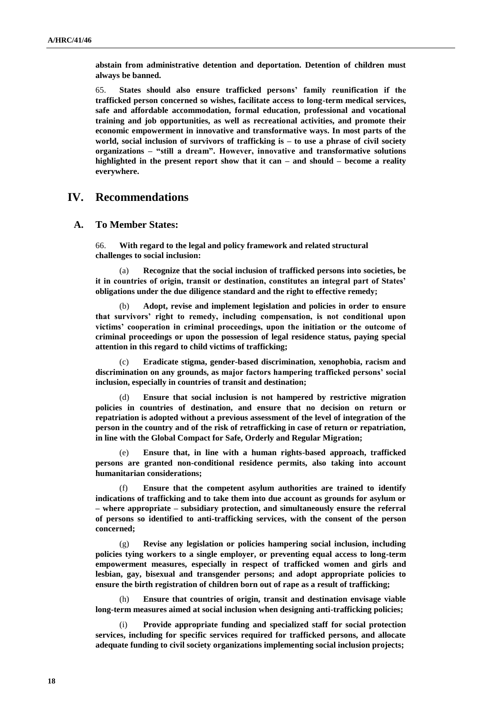**abstain from administrative detention and deportation. Detention of children must always be banned.**

65. **States should also ensure trafficked persons' family reunification if the trafficked person concerned so wishes, facilitate access to long-term medical services, safe and affordable accommodation, formal education, professional and vocational training and job opportunities, as well as recreational activities, and promote their economic empowerment in innovative and transformative ways. In most parts of the world, social inclusion of survivors of trafficking is – to use a phrase of civil society organizations – "still a dream". However, innovative and transformative solutions highlighted in the present report show that it can – and should – become a reality everywhere.**

## **IV. Recommendations**

#### **A. To Member States:**

66. **With regard to the legal and policy framework and related structural challenges to social inclusion:**

(a) **Recognize that the social inclusion of trafficked persons into societies, be it in countries of origin, transit or destination, constitutes an integral part of States' obligations under the due diligence standard and the right to effective remedy;**

(b) **Adopt, revise and implement legislation and policies in order to ensure that survivors' right to remedy, including compensation, is not conditional upon victims' cooperation in criminal proceedings, upon the initiation or the outcome of criminal proceedings or upon the possession of legal residence status, paying special attention in this regard to child victims of trafficking;**

(c) **Eradicate stigma, gender-based discrimination, xenophobia, racism and discrimination on any grounds, as major factors hampering trafficked persons' social inclusion, especially in countries of transit and destination;** 

(d) **Ensure that social inclusion is not hampered by restrictive migration policies in countries of destination, and ensure that no decision on return or repatriation is adopted without a previous assessment of the level of integration of the person in the country and of the risk of retrafficking in case of return or repatriation, in line with the Global Compact for Safe, Orderly and Regular Migration;** 

Ensure that, in line with a human rights-based approach, trafficked **persons are granted non-conditional residence permits, also taking into account humanitarian considerations;**

(f) **Ensure that the competent asylum authorities are trained to identify indications of trafficking and to take them into due account as grounds for asylum or – where appropriate – subsidiary protection, and simultaneously ensure the referral of persons so identified to anti-trafficking services, with the consent of the person concerned;**

(g) **Revise any legislation or policies hampering social inclusion, including policies tying workers to a single employer, or preventing equal access to long-term empowerment measures, especially in respect of trafficked women and girls and lesbian, gay, bisexual and transgender persons; and adopt appropriate policies to ensure the birth registration of children born out of rape as a result of trafficking;**

(h) **Ensure that countries of origin, transit and destination envisage viable long-term measures aimed at social inclusion when designing anti-trafficking policies;**

(i) **Provide appropriate funding and specialized staff for social protection services, including for specific services required for trafficked persons, and allocate adequate funding to civil society organizations implementing social inclusion projects;**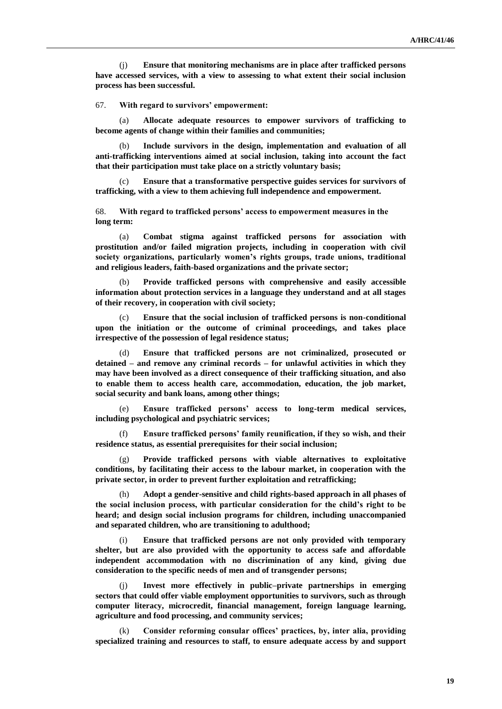(j) **Ensure that monitoring mechanisms are in place after trafficked persons have accessed services, with a view to assessing to what extent their social inclusion process has been successful.** 

67. **With regard to survivors' empowerment:**

(a) **Allocate adequate resources to empower survivors of trafficking to become agents of change within their families and communities;** 

(b) **Include survivors in the design, implementation and evaluation of all anti-trafficking interventions aimed at social inclusion, taking into account the fact that their participation must take place on a strictly voluntary basis;**

(c) **Ensure that a transformative perspective guides services for survivors of trafficking, with a view to them achieving full independence and empowerment.**

68. **With regard to trafficked persons' access to empowerment measures in the long term:**

(a) **Combat stigma against trafficked persons for association with prostitution and/or failed migration projects, including in cooperation with civil society organizations, particularly women's rights groups, trade unions, traditional and religious leaders, faith-based organizations and the private sector;** 

(b) **Provide trafficked persons with comprehensive and easily accessible information about protection services in a language they understand and at all stages of their recovery, in cooperation with civil society;**

(c) **Ensure that the social inclusion of trafficked persons is non-conditional upon the initiation or the outcome of criminal proceedings, and takes place irrespective of the possession of legal residence status;**

(d) **Ensure that trafficked persons are not criminalized, prosecuted or detained – and remove any criminal records – for unlawful activities in which they may have been involved as a direct consequence of their trafficking situation, and also to enable them to access health care, accommodation, education, the job market, social security and bank loans, among other things;**

(e) **Ensure trafficked persons' access to long-term medical services, including psychological and psychiatric services;**

(f) **Ensure trafficked persons' family reunification, if they so wish, and their residence status, as essential prerequisites for their social inclusion;**

(g) **Provide trafficked persons with viable alternatives to exploitative conditions, by facilitating their access to the labour market, in cooperation with the private sector, in order to prevent further exploitation and retrafficking;** 

(h) **Adopt a gender-sensitive and child rights-based approach in all phases of the social inclusion process, with particular consideration for the child's right to be heard; and design social inclusion programs for children, including unaccompanied and separated children, who are transitioning to adulthood;**

(i) **Ensure that trafficked persons are not only provided with temporary shelter, but are also provided with the opportunity to access safe and affordable independent accommodation with no discrimination of any kind, giving due consideration to the specific needs of men and of transgender persons;**

(j) **Invest more effectively in public–private partnerships in emerging sectors that could offer viable employment opportunities to survivors, such as through computer literacy, microcredit, financial management, foreign language learning, agriculture and food processing, and community services;** 

(k) **Consider reforming consular offices' practices, by, inter alia, providing specialized training and resources to staff, to ensure adequate access by and support**